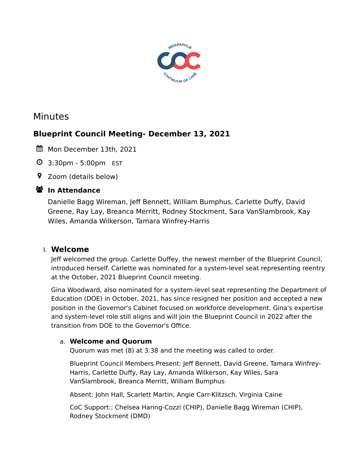

# Minutes

# **Blueprint Council Meeting- December 13, 2021**

- Mon December 13th, 2021
- 3:30pm 5:00pm EST
- Zoom (details below)

# **ジ** In Attendance

Danielle Bagg Wireman, Jeff Bennett, William Bumphus, Carlette Duffy, David Greene, Ray Lay, Breanca Merritt, Rodney Stockment, Sara VanSlambrook, Kay Wiles, Amanda Wilkerson, Tamara Winfrey-Harris

## I. **Welcome**

Jeff welcomed the group. Carlette Duffey, the newest member of the Blueprint Council, introduced herself. Carlette was nominated for a system-level seat representing reentry at the October, 2021 Blueprint Council meeting.

Gina Woodward, also nominated for a system-level seat representing the Department of Education (DOE) in October, 2021, has since resigned her position and accepted a new position in the Governor's Cabinet focused on workforce development. Gina's expertise and system-level role still aligns and will join the Blueprint Council in 2022 after the transition from DOE to the Governor's Office.

## a. **Welcome and Quorum**

Quorum was met (8) at 3:38 and the meeting was called to order.

Blueprint Council Members Present: Jeff Bennett, David Greene, Tamara Winfrey-Harris, Carlette Duffy, Ray Lay, Amanda Wilkerson, Kay Wiles, Sara VanSlambrook, Breanca Merritt, William Bumphus

Absent: John Hall, Scarlett Martin, Angie Carr-Klitzsch, Virginia Caine

CoC Support:: Chelsea Haring-Cozzi (CHIP), Danielle Bagg Wireman (CHIP), Rodney Stockment (DMD)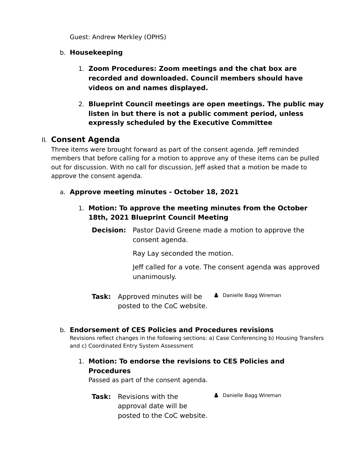Guest: Andrew Merkley (OPHS)

#### b. **Housekeeping**

- 1. **Zoom Procedures: Zoom meetings and the chat box are recorded and downloaded. Council members should have videos on and names displayed.**
- 2. **Blueprint Council meetings are open meetings. The public may listen in but there is not a public comment period, unless expressly scheduled by the Executive Committee**

## II. **Consent Agenda**

Three items were brought forward as part of the consent agenda. Jeff reminded members that before calling for a motion to approve any of these items can be pulled out for discussion. With no call for discussion, Jeff asked that a motion be made to approve the consent agenda.

#### a. **Approve meeting minutes - October 18, 2021**

1. **Motion: To approve the meeting minutes from the October 18th, 2021 Blueprint Council Meeting**

**Decision:** Pastor David Greene made a motion to approve the consent agenda.

Ray Lay seconded the motion.

Jeff called for a vote. The consent agenda was approved unanimously.

**Task:** Approved minutes will be  $\bullet$  Danielle Bagg Wireman posted to the CoC website.

#### b. **Endorsement of CES Policies and Procedures revisions**

Revisions reflect changes in the following sections: a) Case Conferencing b) Housing Transfers and c) Coordinated Entry System Assessment

1. **Motion: To endorse the revisions to CES Policies and Procedures**

Passed as part of the consent agenda.

**Task:** Revisions with the approval date will be posted to the CoC website. **A** Danielle Bagg Wireman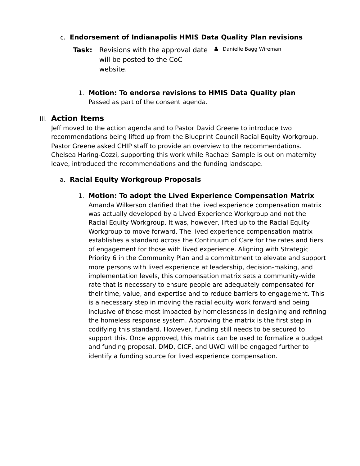## c. **Endorsement of Indianapolis HMIS Data Quality Plan revisions**

- **Task:** Revisions with the approval date  $\bullet$  Danielle Bagg Wireman will be posted to the CoC website.
	- 1. **Motion: To endorse revisions to HMIS Data Quality plan** Passed as part of the consent agenda.

## III. **Action Items**

Jeff moved to the action agenda and to Pastor David Greene to introduce two recommendations being lifted up from the Blueprint Council Racial Equity Workgroup. Pastor Greene asked CHIP staff to provide an overview to the recommendations. Chelsea Haring-Cozzi, supporting this work while Rachael Sample is out on maternity leave, introduced the recommendations and the funding landscape.

# a. **Racial Equity Workgroup Proposals**

## 1. **Motion: To adopt the Lived Experience Compensation Matrix**

Amanda Wilkerson clarified that the lived experience compensation matrix was actually developed by a Lived Experience Workgroup and not the Racial Equity Workgroup. It was, however, lifted up to the Racial Equity Workgroup to move forward. The lived experience compensation matrix establishes a standard across the Continuum of Care for the rates and tiers of engagement for those with lived experience. Aligning with Strategic Priority 6 in the Community Plan and a committment to elevate and support more persons with lived experience at leadership, decision-making, and implementation levels, this compensation matrix sets a community-wide rate that is necessary to ensure people are adequately compensated for their time, value, and expertise and to reduce barriers to engagement. This is a necessary step in moving the racial equity work forward and being inclusive of those most impacted by homelessness in designing and refining the homeless response system. Approving the matrix is the first step in codifying this standard. However, funding still needs to be secured to support this. Once approved, this matrix can be used to formalize a budget and funding proposal. DMD, CICF, and UWCI will be engaged further to identify a funding source for lived experience compensation.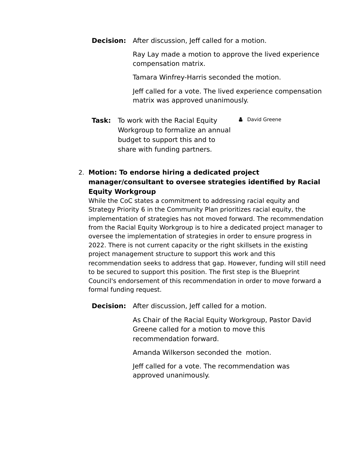**Decision:** After discussion, Jeff called for a motion.

Ray Lay made a motion to approve the lived experience compensation matrix.

Tamara Winfrey-Harris seconded the motion.

Jeff called for a vote. The lived experience compensation matrix was approved unanimously.

**Task:** To work with the Racial Equity Workgroup to formalize an annual budget to support this and to share with funding partners. **A** David Greene

# 2. **Motion: To endorse hiring a dedicated project manager/consultant to oversee strategies identified by Racial Equity Workgroup**

While the CoC states a commitment to addressing racial equity and Strategy Priority 6 in the Community Plan prioritizes racial equity, the implementation of strategies has not moved forward. The recommendation from the Racial Equity Workgroup is to hire a dedicated project manager to oversee the implementation of strategies in order to ensure progress in 2022. There is not current capacity or the right skillsets in the existing project management structure to support this work and this recommendation seeks to address that gap. However, funding will still need to be secured to support this position. The first step is the Blueprint Council's endorsement of this recommendation in order to move forward a formal funding request.

**Decision:** After discussion, Jeff called for a motion.

As Chair of the Racial Equity Workgroup, Pastor David Greene called for a motion to move this recommendation forward.

Amanda Wilkerson seconded the motion.

Jeff called for a vote. The recommendation was approved unanimously.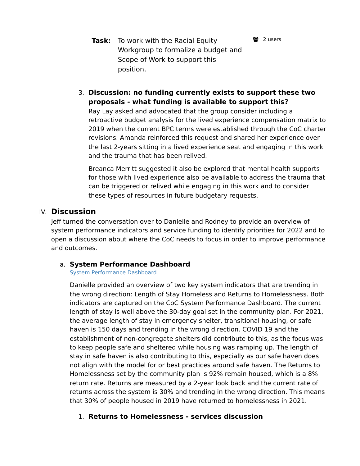- **Task:** To work with the Racial Equity Workgroup to formalize a budget and Scope of Work to support this position.
- 3. **Discussion: no funding currently exists to support these two proposals - what funding is available to support this?**

Ray Lay asked and advocated that the group consider including a retroactive budget analysis for the lived experience compensation matrix to 2019 when the current BPC terms were established through the CoC charter revisions. Amanda reinforced this request and shared her experience over the last 2-years sitting in a lived experience seat and engaging in this work and the trauma that has been relived.

**2** 2 users

Breanca Merritt suggested it also be explored that mental health supports for those with lived experience also be available to address the trauma that can be triggered or relived while engaging in this work and to consider these types of resources in future budgetary requests.

#### IV. **Discussion**

Jeff turned the conversation over to Danielle and Rodney to provide an overview of system performance indicators and service funding to identify priorities for 2022 and to open a discussion about where the CoC needs to focus in order to improve performance and outcomes.

#### a. **System Performance Dashboard**

#### [System Performance Dashboard](https://public.tableau.com/views/SystemPerformanceDashboard_16215533604610/SystemPerformanceDashboard?:language=en-US&:display_count=n&:origin=viz_share_link)

Danielle provided an overview of two key system indicators that are trending in the wrong direction: Length of Stay Homeless and Returns to Homelessness. Both indicators are captured on the CoC System Performance Dashboard. The current length of stay is well above the 30-day goal set in the community plan. For 2021, the average length of stay in emergency shelter, transitional housing, or safe haven is 150 days and trending in the wrong direction. COVID 19 and the establishment of non-congregate shelters did contribute to this, as the focus was to keep people safe and sheltered while housing was ramping up. The length of stay in safe haven is also contributing to this, especially as our safe haven does not align with the model for or best practices around safe haven. The Returns to Homelessness set by the community plan is 92% remain housed, which is a 8% return rate. Returns are measured by a 2-year look back and the current rate of returns across the system is 30% and trending in the wrong direction. This means that 30% of people housed in 2019 have returned to homelessness in 2021.

#### 1. **Returns to Homelessness - services discussion**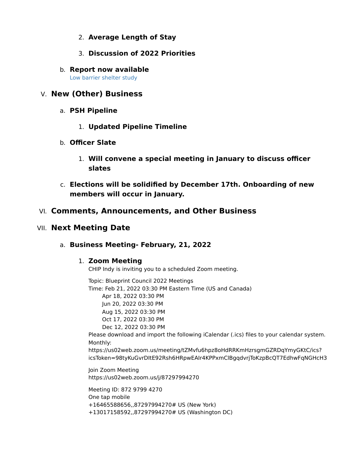- 2. **Average Length of Stay**
- 3. **Discussion of 2022 Priorities**
- b. **Report now available** [Low barrier shelter study](https://media.graphcms.com/xCfY2vlQCeVXUG15y7Mn)

## V. **New (Other) Business**

- a. **PSH Pipeline**
	- 1. **Updated Pipeline Timeline**
- b. **Officer Slate**
	- 1. **Will convene a special meeting in January to discuss officer slates**
- c. **Elections will be solidified by December 17th. Onboarding of new members will occur in January.**

# VI. **Comments, Announcements, and Other Business**

## VII. **Next Meeting Date**

a. **Business Meeting- February, 21, 2022**

#### 1. **Zoom Meeting**

CHIP Indy is inviting you to a scheduled Zoom meeting.

Topic: Blueprint Council 2022 Meetings Time: Feb 21, 2022 03:30 PM Eastern Time (US and Canada) Apr 18, 2022 03:30 PM Jun 20, 2022 03:30 PM Aug 15, 2022 03:30 PM Oct 17, 2022 03:30 PM Dec 12, 2022 03:30 PM Please download and import the following iCalendar (.ics) files to your calendar system. Monthly: https://us02web.zoom.us/meeting/tZMvfu6hpz8oHdRRKmHzrsgmGZRDqYmyGKtC/ics? icsToken=98tyKuGvrDItE92Rsh6HRpwEAIr4KPPxmClBgqdvrjToKzpBcQT7EdhwFqNGHcH3 Join Zoom Meeting https://us02web.zoom.us/j/87297994270 Meeting ID: 872 9799 4270

One tap mobile +16465588656,,87297994270# US (New York) +13017158592,,87297994270# US (Washington DC)